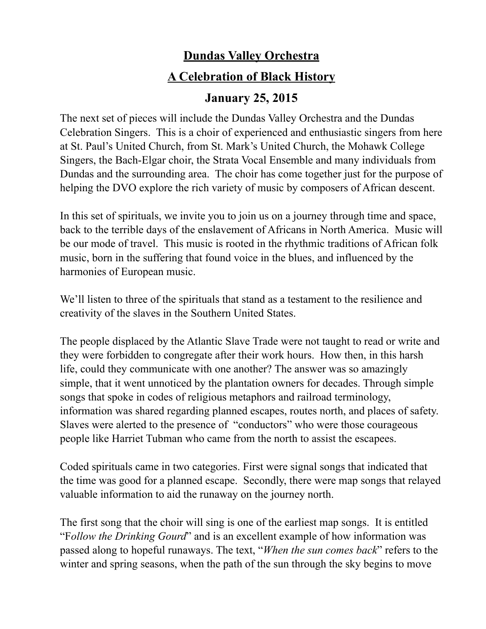## **Dundas Valley Orchestra**

## **A Celebration of Black History**

## **January 25, 2015**

The next set of pieces will include the Dundas Valley Orchestra and the Dundas Celebration Singers. This is a choir of experienced and enthusiastic singers from here at St. Paul's United Church, from St. Mark's United Church, the Mohawk College Singers, the Bach-Elgar choir, the Strata Vocal Ensemble and many individuals from Dundas and the surrounding area. The choir has come together just for the purpose of helping the DVO explore the rich variety of music by composers of African descent.

In this set of spirituals, we invite you to join us on a journey through time and space, back to the terrible days of the enslavement of Africans in North America. Music will be our mode of travel. This music is rooted in the rhythmic traditions of African folk music, born in the suffering that found voice in the blues, and influenced by the harmonies of European music.

We'll listen to three of the spirituals that stand as a testament to the resilience and creativity of the slaves in the Southern United States.

The people displaced by the Atlantic Slave Trade were not taught to read or write and they were forbidden to congregate after their work hours. How then, in this harsh life, could they communicate with one another? The answer was so amazingly simple, that it went unnoticed by the plantation owners for decades. Through simple songs that spoke in codes of religious metaphors and railroad terminology, information was shared regarding planned escapes, routes north, and places of safety. Slaves were alerted to the presence of "conductors" who were those courageous people like Harriet Tubman who came from the north to assist the escapees.

Coded spirituals came in two categories. First were signal songs that indicated that the time was good for a planned escape. Secondly, there were map songs that relayed valuable information to aid the runaway on the journey north.

The first song that the choir will sing is one of the earliest map songs. It is entitled "F*ollow the Drinking Gourd*" and is an excellent example of how information was passed along to hopeful runaways. The text, "*When the sun comes back*" refers to the winter and spring seasons, when the path of the sun through the sky begins to move